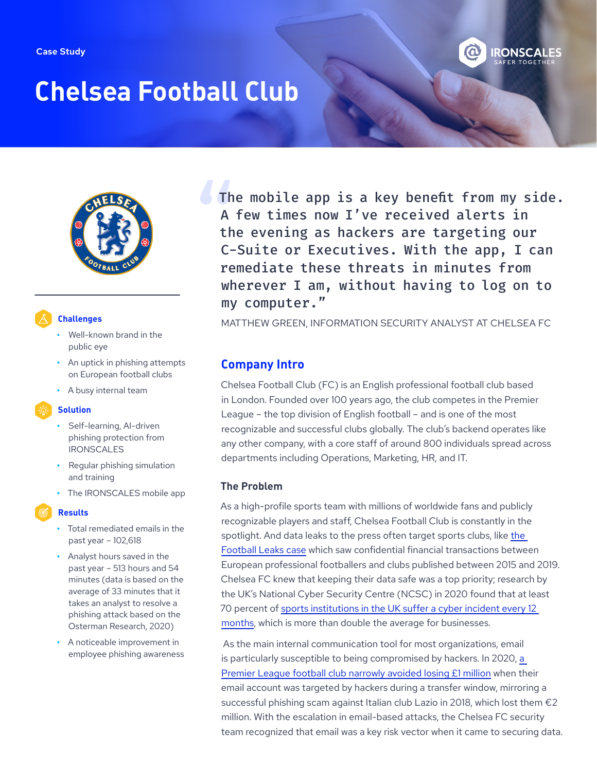

# **Chelsea Football Club**



## **Challenges**

- **•** Well-known brand in the public eye
- **•** An uptick in phishing attempts on European football clubs
- **•** A busy internal team

#### **Solution**

- **•** Self-learning, AI-driven phishing protection from IRONSCALES
- **•** Regular phishing simulation and training
- **•** The IRONSCALES mobile app

# **Results**

- **•** Total remediated emails in the past year – 102,618
- **•** Analyst hours saved in the past year – 513 hours and 54 minutes (data is based on the average of 33 minutes that it takes an analyst to resolve a phishing attack based on the Osterman Research, 2020)
- **•** A noticeable improvement in employee phishing awareness

The mobile app is a key benefit from my side. A few times now I've received alerts in the evening as hackers are targeting our C-Suite or Executives. With the app, I can remediate these threats in minutes from wherever I am, without having to log on to my computer."

MATTHEW GREEN, INFORMATION SECURITY ANALYST AT CHELSEA FC

# **Company Intro**

Chelsea Football Club (FC) is an English professional football club based in London. Founded over 100 years ago, the club competes in the Premier League – the top division of English football – and is one of the most recognizable and successful clubs globally. The club's backend operates like any other company, with a core staff of around 800 individuals spread across departments including Operations, Marketing, HR, and IT.

### **The Problem**

As a high-profile sports team with millions of worldwide fans and publicly recognizable players and staff, Chelsea Football Club is constantly in the spotlight. And data leaks to the press often target sports clubs, like [the](http://www.theguardian.com/football/2019/apr/13/der-spiegel-rafael-buschmann-rui-pinto-football-leaks)  [Football Leaks case](http://www.theguardian.com/football/2019/apr/13/der-spiegel-rafael-buschmann-rui-pinto-football-leaks) which saw confidential financial transactions between European professional footballers and clubs published between 2015 and 2019. Chelsea FC knew that keeping their data safe was a top priority; research by the UK's National Cyber Security Centre (NCSC) in 2020 found that at least 70 percent of [sports institutions in the UK suffer a cyber incident every 12](http://www.ncsc.gov.uk/files/Cyber-threat-to-sports-organisations.pdf)  [months](http://www.ncsc.gov.uk/files/Cyber-threat-to-sports-organisations.pdf), which is more than double the average for businesses.

 As the main internal communication tool for most organizations, email is particularly susceptible to being compromised by hackers. In 2020, a [Premier League football club narrowly avoided losing £1 million](http://www.itpro.co.uk/security/phishing/356548/premier-league-club-almost-lost-ps1m-in-spear-phishing-scam) when their email account was targeted by hackers during a transfer window, mirroring a successful phishing scam against Italian club Lazio in 2018, which lost them €2 million. With the escalation in email-based attacks, the Chelsea FC security team recognized that email was a key risk vector when it came to securing data.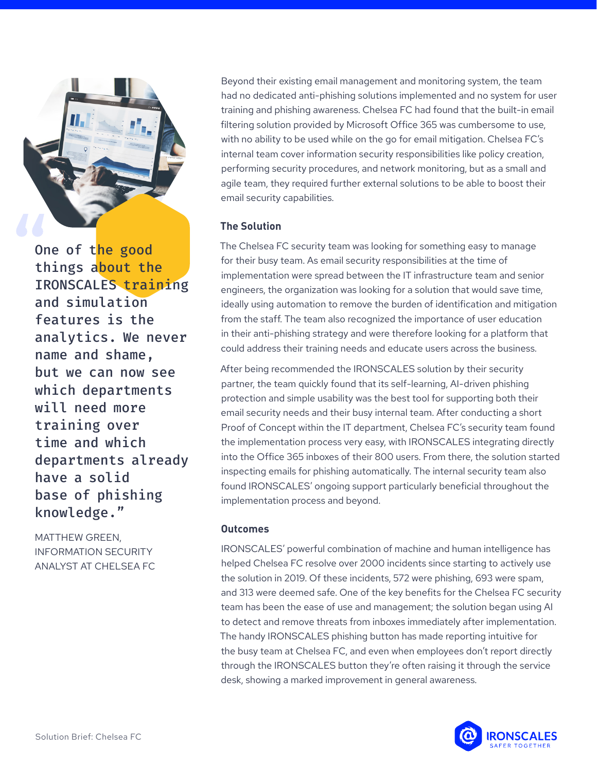

One of the good things about the IRONSCALES training and simulation features is the analytics. We never name and shame, but we can now see which departments will need more training over time and which departments already have a solid base of phishing knowledge."

MATTHEW GREEN, INFORMATION SECURITY ANALYST AT CHELSEA FC Beyond their existing email management and monitoring system, the team had no dedicated anti-phishing solutions implemented and no system for user training and phishing awareness. Chelsea FC had found that the built-in email filtering solution provided by Microsoft Office 365 was cumbersome to use, with no ability to be used while on the go for email mitigation. Chelsea FC's internal team cover information security responsibilities like policy creation, performing security procedures, and network monitoring, but as a small and agile team, they required further external solutions to be able to boost their email security capabilities.

### **The Solution**

The Chelsea FC security team was looking for something easy to manage for their busy team. As email security responsibilities at the time of implementation were spread between the IT infrastructure team and senior engineers, the organization was looking for a solution that would save time, ideally using automation to remove the burden of identification and mitigation from the staff. The team also recognized the importance of user education in their anti-phishing strategy and were therefore looking for a platform that could address their training needs and educate users across the business.

After being recommended the IRONSCALES solution by their security partner, the team quickly found that its self-learning, AI-driven phishing protection and simple usability was the best tool for supporting both their email security needs and their busy internal team. After conducting a short Proof of Concept within the IT department, Chelsea FC's security team found the implementation process very easy, with IRONSCALES integrating directly into the Office 365 inboxes of their 800 users. From there, the solution started inspecting emails for phishing automatically. The internal security team also found IRONSCALES' ongoing support particularly beneficial throughout the implementation process and beyond.

#### **Outcomes**

IRONSCALES' powerful combination of machine and human intelligence has helped Chelsea FC resolve over 2000 incidents since starting to actively use the solution in 2019. Of these incidents, 572 were phishing, 693 were spam, and 313 were deemed safe. One of the key benefits for the Chelsea FC security team has been the ease of use and management; the solution began using AI to detect and remove threats from inboxes immediately after implementation. The handy IRONSCALES phishing button has made reporting intuitive for the busy team at Chelsea FC, and even when employees don't report directly through the IRONSCALES button they're often raising it through the service desk, showing a marked improvement in general awareness.

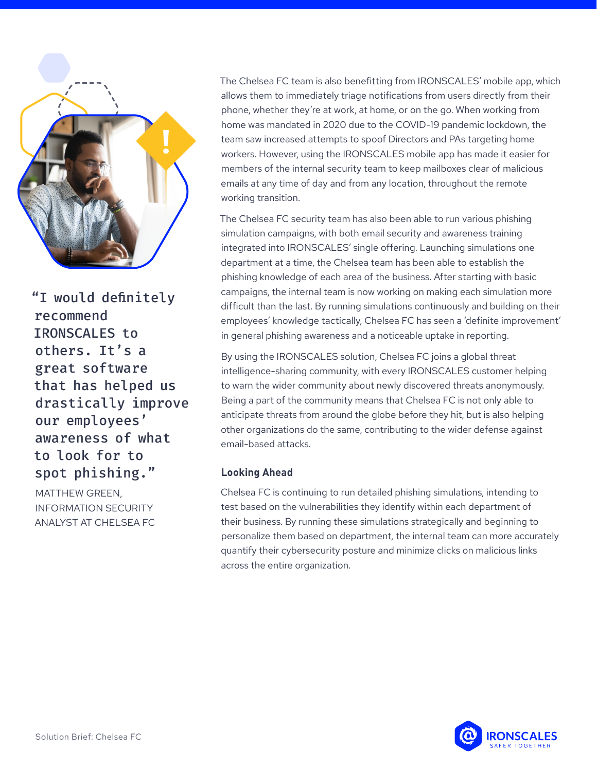

"I would definitely recommend IRONSCALES to others. It's a great software that has helped us drastically improve our employees' awareness of what to look for to spot phishing."

MATTHEW GREEN, INFORMATION SECURITY ANALYST AT CHELSEA FC The Chelsea FC team is also benefitting from IRONSCALES' mobile app, which allows them to immediately triage notifications from users directly from their phone, whether they're at work, at home, or on the go. When working from home was mandated in 2020 due to the COVID-19 pandemic lockdown, the team saw increased attempts to spoof Directors and PAs targeting home workers. However, using the IRONSCALES mobile app has made it easier for members of the internal security team to keep mailboxes clear of malicious emails at any time of day and from any location, throughout the remote working transition.

The Chelsea FC security team has also been able to run various phishing simulation campaigns, with both email security and awareness training integrated into IRONSCALES' single offering. Launching simulations one department at a time, the Chelsea team has been able to establish the phishing knowledge of each area of the business. After starting with basic campaigns, the internal team is now working on making each simulation more difficult than the last. By running simulations continuously and building on their employees' knowledge tactically, Chelsea FC has seen a 'definite improvement' in general phishing awareness and a noticeable uptake in reporting.

By using the IRONSCALES solution, Chelsea FC joins a global threat intelligence-sharing community, with every IRONSCALES customer helping to warn the wider community about newly discovered threats anonymously. Being a part of the community means that Chelsea FC is not only able to anticipate threats from around the globe before they hit, but is also helping other organizations do the same, contributing to the wider defense against email-based attacks.

### **Looking Ahead**

Chelsea FC is continuing to run detailed phishing simulations, intending to test based on the vulnerabilities they identify within each department of their business. By running these simulations strategically and beginning to personalize them based on department, the internal team can more accurately quantify their cybersecurity posture and minimize clicks on malicious links across the entire organization.